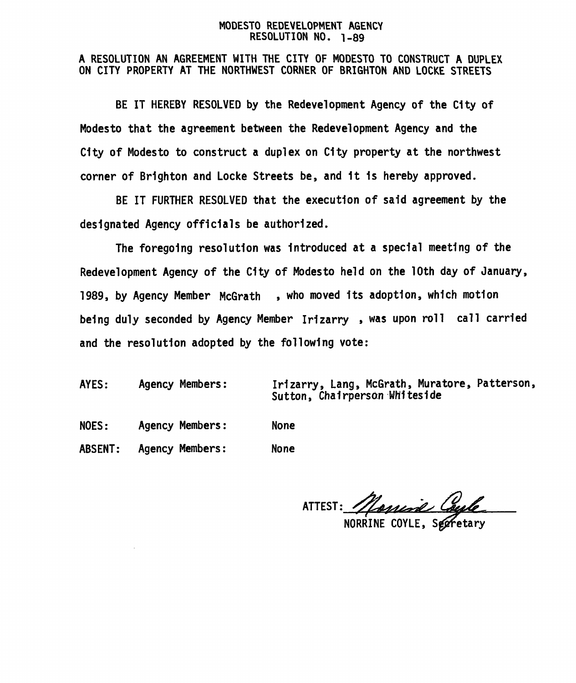#### MODESTO REDEVELOPMENT AGENCY RESOLUTION NO. 1-89

# A RESOLUTION AN AGREEMENT WITH THE CITY OF MODESTO TO CONSTRUCT A DUPLEX ON CITY PROPERTY AT THE NORTHWEST CORNER OF BRIGHTON AND LOCKE STREETS

BE IT HEREBY RESOLVED by the Redevelopment Agency of the City of Modesto that the agreement between the Redevelopment Agency and the City of Modesto to construct a duplex on City property at the northwest corner of Brighton and Locke Streets be, and 1t 1s hereby approved.

BE IT FURTHER RESOLVED that the execution of said agreement by the designated Agency officials be authorized.

The foregoing resolution was Introduced at a special meeting of the Redevelopment Agency of the City of Modesto held on the 10th day of January, 1989, by Agency Member McGrath , who moved Its adoption, which motion being duly seconded by Agency Member Irizarry , was upon roll call carried and the resolution adopted by the following vote:

AYES: Agency Members:

Irizarry, Lang , McGrath , Muratore, Patterson, Sutton, Chairperson Whiteside

NOES: Agency Members: None

ABSENT: Agency Members: None

ATTEST: *Marrine Coule* 

NORRINE COYLE, Seefetary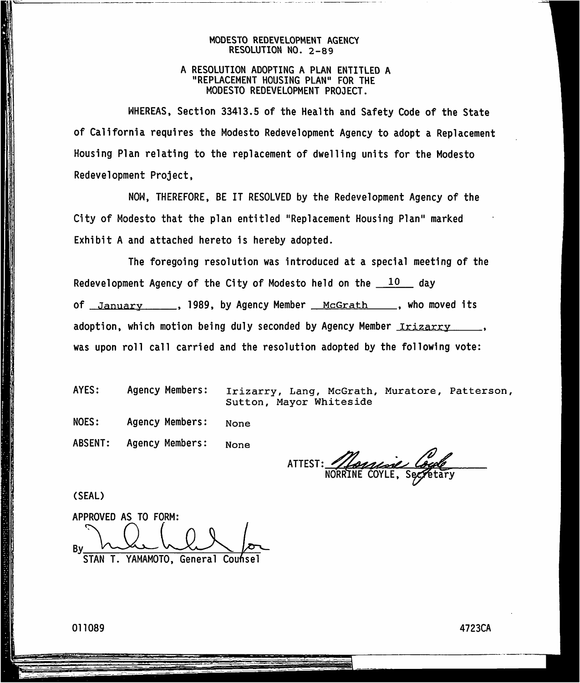#### **MODESTO REDEVELOPMENT AGENCY RESOLUTION NO. 2-89**

### **<sup>A</sup> RESOLUTION ADOPTING A PLAN ENTITLED A "REPLACEMENT HOUSING PLAN" FOR THE MODESTO REDEVELOPMENT PROJECT.**

**WHEREAS, Section 33413.5 of the Health and Safety Code of the State of California requires the Modesto Redevelopment Agency to adopt a Replacement Housing Plan relating to the replacement of dwelling units for the Modesto Redevelopment Project,**

**NOW, THEREFORE, BE IT RESOLVED by the Redevelopment Agency of the City of Modesto that the plan entitled "Replacement Housing Plan" marked Exhibit A and attached hereto is hereby adopted.**

**The foregoing resolution was introduced at a special meeting of the Redevelopment Agency of the City of Modesto held on the <sup>10</sup> day Of January , 1989, by Agency Member McGrath , who moved its adoption, which motion being duly seconded by Agency Member Irizarry was upon roll call carried and the resolution adopted by the following vote:**

**AYES: Agency Members: Irizarry, Lang, McGrath, Muratore, Patterson, Sutton, Mayor Whiteside**

**Agency Members: NOES: None**

**ABSENT: Agency Members: None**

Adama C<br>COYLE, Sex **ATTEST:**

**(SEAL)**

**APPROVED AS TO FORM: By STAN T. YAMAMOTO, General Coufisel**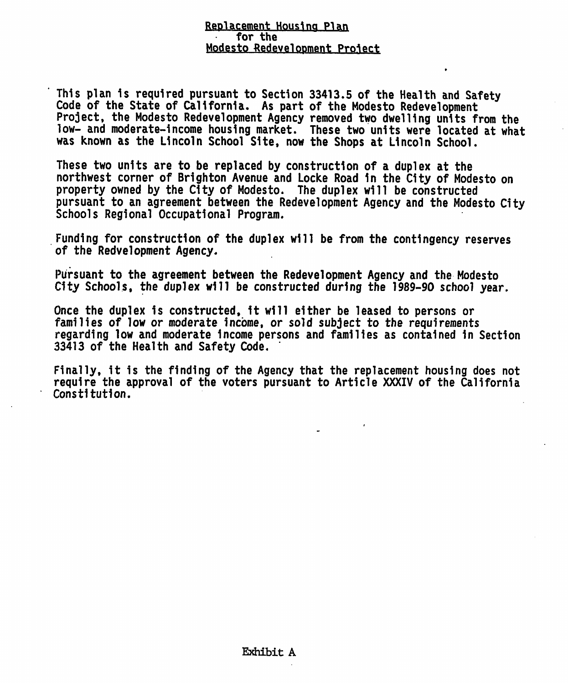### Replacement Housing Plan **for the** Modesto Redevelopment Protect

**This plan <sup>1</sup> <sup>s</sup> required pursuant to Section 33413.5 of the Health and Safety Code of the State of California. As part of the Modesto Redevelopment Project, the Modesto Redevelopment Agency removed two dwelling units from the low- and moderate-income housing market. These two units were located at what was known as the Lincoln School Site, now the Shops at Lincoln School.**

**These two units are to be replaced by construction of <sup>a</sup> duplex at the northwest corner of Brighton Avenue and Locke Road 1 <sup>n</sup> the City of Modesto on property owned by the City of Modesto. The duplex will be constructed pursuant to an agreement between the Redevelopment Agency and the Modesto City Schools Regional Occupational Program.**

**Funding for construction of the duplex will be from the contingency reserves of the Redvelopment Agency.**

**Pursuant to the agreement between the Redevelopment Agency and the Modesto City Schools, the duplex will be constructed during the 1989-90 school year.**

**Once the duplex is constructed, 1t will either be leased to persons or families of low or moderate income, or sold subject to the requirements regarding low and moderate Income persons and families as contained 1 <sup>n</sup> Section 33413 of the Health and Safety Code.**

**Finally, it is the finding of the Agency that the replacement housing does not require the approval of the voters pursuant to Article XXXIV of the California Constitution.**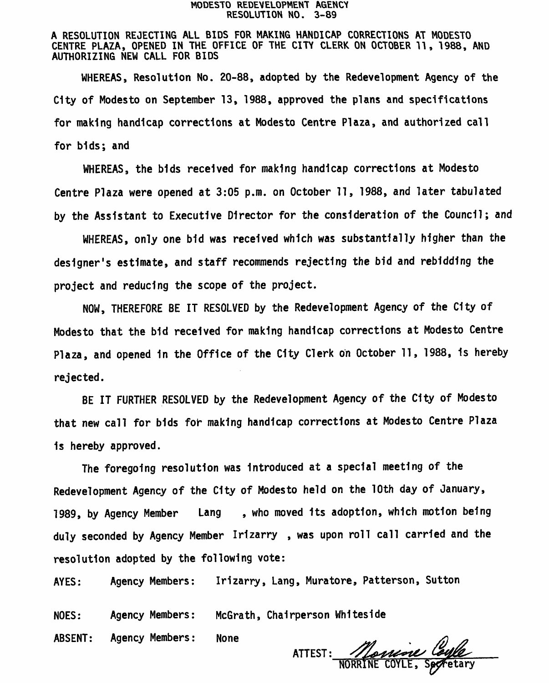#### MODESTO REDEVELOPMENT AGENCY RESOLUTION NO. 3-89

A RESOLUTION REJECTING ALL BIDS FOR MAKING HANDICAP CORRECTIONS AT MODESTO CENTRE PLAZA, OPENED IN THE OFFICE OF THE CITY CLERK ON OCTOBER 11, 1988, AND AUTHORIZING NEW CALL FOR BIDS

WHEREAS, Resolution No. 20-88, adopted by the Redevelopment Agency of the City of Modesto on September 13, 1988, approved the plans and specifications for making handicap corrections at Modesto Centre Plaza , and authorized call for bids; and

WHEREAS , the bids received for making handicap corrections at Modesto Centre Plaza were opened at 3:05 p.m. on October 11, 1988, and later tabulated by the Assistant to Executive Director for the consideration of the Council; and

WHEREAS, only one bid was received which was substantially higher than the designer's estimate, and staff recommends rejecting the bid and rebidding the project and reducing the scope of the project.

NOW, THEREFORE BE IT RESOLVED by the Redevelopment Agency of the City of Modesto that the bid received for making handicap corrections at Modesto Centre Plaza, and opened in the Office of the City Clerk on October 11, 1988, is hereby rejected.

BE IT FURTHER RESOLVED by the Redevelopment Agency of the City of Modesto that new call for bids for making handicap corrections at Modesto Centre Plaza 1<sup>s</sup> hereby approved.

The foregoing resolution was Introduced at <sup>a</sup> special meeting of the Redevelopment Agency of the City of Modesto held on the <sup>10</sup>th day of January, 1989, by Agency Member Lang , who moved Its adoption, which motion being duly seconded by Agency Member Irizarry , was upon roll call carried and the resolution adopted by the following vote:

AYES: Agency Members: Irizarry, Lang, Muratore, Patterson, Sutton

Agency Members: McGrath, Chairperson Whiteside NOES:

ABSENT: Agency Members: None

ATTEST: NORRINE COYLE, Sectetary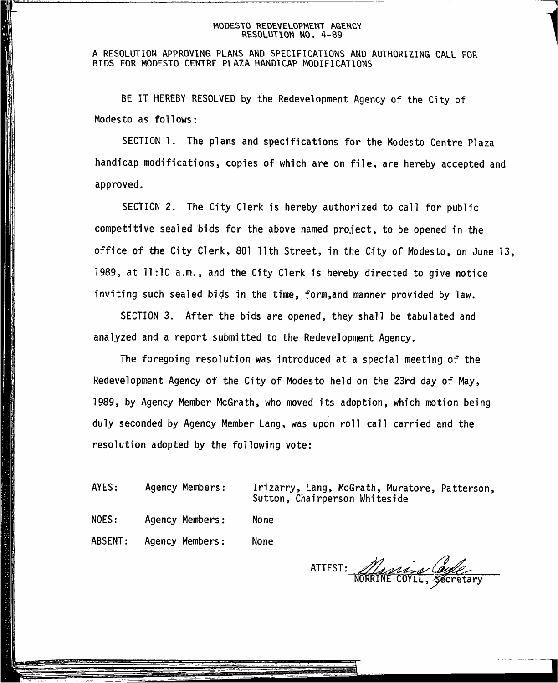#### **MODESTO REDEVELOPMENT AGENCV RESOLUTION NO. 4-89**

### **<sup>A</sup> RESOLUTION APPROVING PLANS AND SPECIFICATIONS AND AUTHORIZING CALL FOR BIDS FOR MODESTO CENTRE PLAZA HANDICAP MODIFICATIONS**

BE IT HEREBY RESOLVED by the Redevelopment Agency of the City of Modesto as follows:

SECTION 1. The plans and specifications for the Modesto Centre Plaza handicap modifications, copies of which are on file, are hereby accepted and approved.

SECTION 2. The City Clerk is hereby authorized to call for public competitive sealed bids for the above named project, to be opened in the office of the City Clerk, 801 11th Street, in the City of Modesto, on June 13, 1989, at <sup>11</sup>:10 a.m., and the City Clerk is hereby directed to give notice inviting such sealed bids in the time, form,and manner provided by law.

SECTION 3. After the bids are opened, they shall be tabulated and analyzed and <sup>a</sup> report submitted to the Redevelopment Agency.

The foregoing resolution was introduced at <sup>a</sup> special meeting of the Redevelopment Agency of the City of Modesto held on the 23rd day of May, 1989, by Agency Member McGrath, who moved its adoption, which motion being duly seconded by Agency Member Lang, was upon roll call carried and the resolution adopted by the following vote:

AYES: Agency Members:

Irizarry, Lang, McGrath, Muratore, Patterson, Sutton, Chairperson Whiteside

NOES: Agency Members : None

ABSENT: Agency Members : None

• */<sup>I</sup> <sup>s</sup>* ATTEST: <sup>&</sup>gt;^<sup>2</sup> NORklNE COYLE, Secretary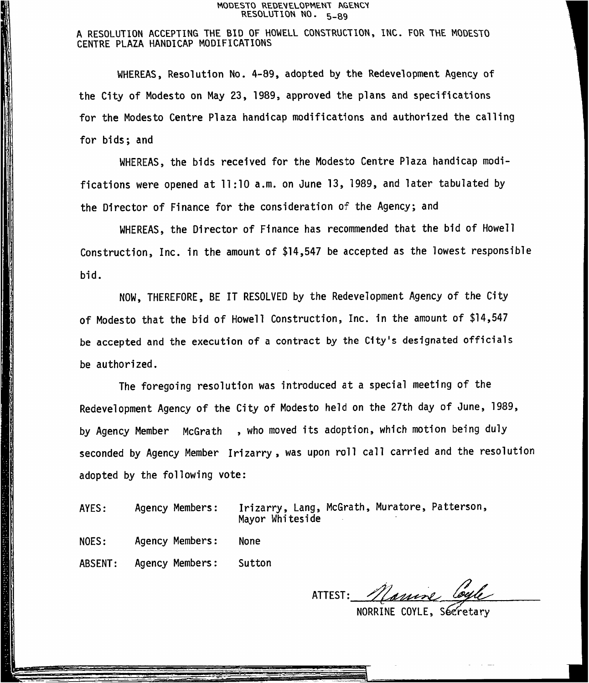#### **MODESTO REDEVELOPMENT &GENCV RESOLUTION NO.** <sup>5</sup>-<sup>89</sup>

## **<sup>A</sup> RESOLUTION ACCEPTING THE BID OF HOWELL CONSTRUCTION, INC. FOR THE MODESTO CENTRE PLAZA HANDICAP MODIFICATIONS**

WHEREAS, Resolution No. 4-89, adopted by the Redevelopment Agency of the City of Modesto on May 23, 1989, approved the plans and specifications for the Modesto Centre Plaza handicap modifications and authorized the calling for bids; and

WHEREAS, the bids received for the Modesto Centre Plaza handicap modifications were opened at <sup>11</sup>:<sup>10</sup> <sup>a</sup>.m. on June <sup>13</sup>, 1989, and later tabulated by the Director of Finance for the consideration of the Agency; and

WHEREAS, the Director of Finance has recommended that the bid of Howell Construction, Inc. in the amount of \$14,<sup>547</sup> be accepted as the lowest responsible bid.

NOW, THEREFORE, BE IT RESOLVED by the Redevelopment Agency of the City of Modesto that the bid of Howell Construction, Inc. in the amount of \$14,<sup>547</sup> be accepted and the execution of a contract by the City's designated officials be authorized.

The foregoing resolution was introduced at <sup>a</sup> special meeting of the Redevelopment Agency of the City of Modesto held on the <sup>27</sup>th day of June, <sup>1989</sup>, by Agency Member McGrath , who moved its adoption, which motion being duly seconded by Agency Member Irizarry , was upon roll call carried and the resolution adopted by the following vote:

AYES:

Agency Members: Irizarry, Lang, McGrath, Muratore, Patterson, Mayor Whiteside

NOES: Agency Members: None

ABSENT: Agency Members: Sutton

ATTEST: namine Coyle

NORRINE COYLE, Secretary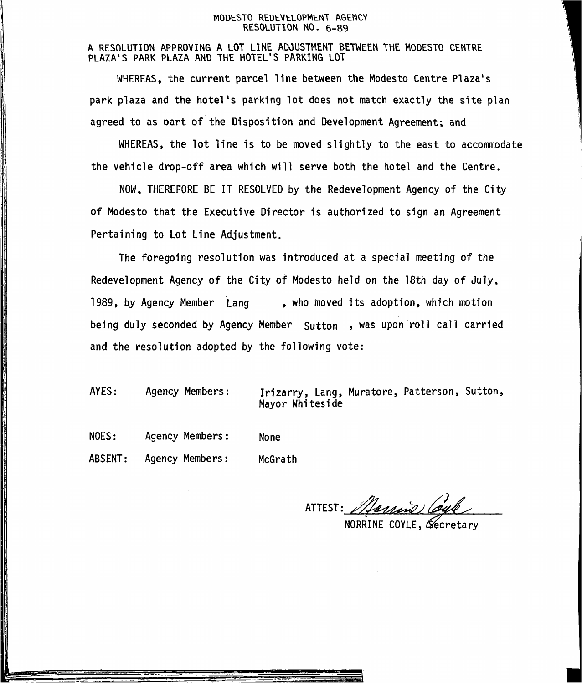#### MODESTO REDEVELOPMENT AGENCY RESOLUTION NO. 6-89

A RESOLUTION APPROVING A LOT LINE ADJUSTMENT BETWEEN THE MODESTO CENTRE PLAZA'S PARK PLAZA AND THE HOTEL'S PARKING LOT

WHEREAS, the current parcel line between the Modesto Centre Plaza's park plaza and the hotel's parking lot does not match exactly the site plan agreed to as part of the Disposition and Development Agreement; and

WHEREAS, the lot line is to be moved slightly to the east to accommodate the vehicle drop-off area which will serve both the hotel and the Centre.

NOW, THEREFORE BE IT RESOLVED by the Redevelopment Agency of the City of Modesto that the Executive Director is authorized to sign an Agreement Pertaining to Lot Line Adjustment.

The foregoing resolution was introduced at <sup>a</sup> special meeting of the Redevelopment Agency of the City of Modesto held on the 18th day of July, 1989, by Agency Member Lang being duly seconded by Agency Member Sutton , was upon roll call carried and the resolution adopted by the following vote: , who moved its adoption, which motion

- AYES: Agency Members: Irizarry, Lang, Muratore, Patterson, Sutton, Mayor Whiteside
- NOES: Agency Members : None

ABSENT: Agency Members : McGrath

Nerris 1 ATTEST:

NORRINE COYLE, Secretary